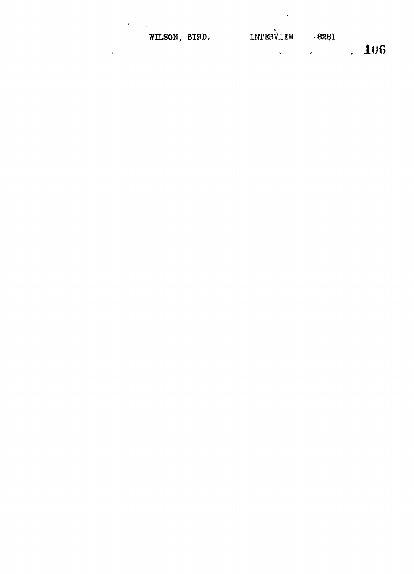|        | ٠ | WILSON, BIRD. | INTERVIEW |        | $-8281$ |       |
|--------|---|---------------|-----------|--------|---------|-------|
| $\sim$ |   |               |           | $\sim$ | $\cdot$ | . 106 |

 $\sim 10^{-1}$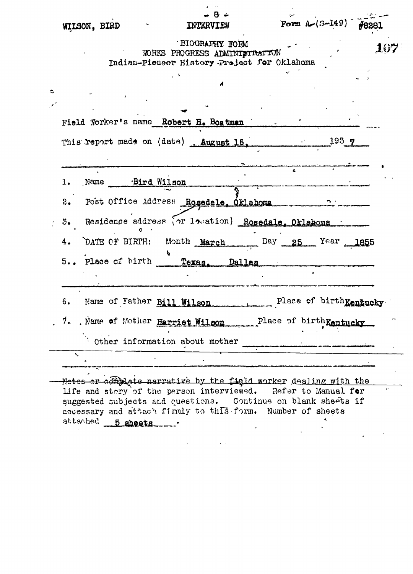| WILSON, BIRD                     | INTERVIEW                                                                                      |                         | Form $A-(S-149)$ #8281 |                                                                |
|----------------------------------|------------------------------------------------------------------------------------------------|-------------------------|------------------------|----------------------------------------------------------------|
|                                  | BIOGRAPHY FORM<br>WORKS PROGRESS ADMINISTRATION<br>Indian-Pioneer History Project for Oklahoma |                         |                        | 107                                                            |
|                                  |                                                                                                |                         |                        |                                                                |
|                                  |                                                                                                |                         |                        |                                                                |
|                                  | Field Worker's name Robert H. Boatman                                                          |                         |                        |                                                                |
|                                  | This report made on (data) August 16.                                                          |                         | $193 - 7$              |                                                                |
|                                  |                                                                                                |                         |                        |                                                                |
| Name Bird Wilson<br>ı.           |                                                                                                |                         |                        |                                                                |
| 2.                               | Post Office Address Rosedale, Oklahoma                                                         |                         |                        |                                                                |
| 3.                               | Residence address (or location) Rosedale, Oklahoma                                             |                         |                        |                                                                |
| 4.                               | DATE OF BIRTH: Month March                                                                     | Day 25 Year 1855        |                        |                                                                |
| 5 Place of birth                 | Texas. Dallas                                                                                  |                         |                        |                                                                |
|                                  |                                                                                                |                         |                        |                                                                |
| 6.                               | Name of Father Bill Wilson                                                                     |                         | Place of birthKentucky |                                                                |
| 7. Name of Mother Harriet Wilson |                                                                                                | Place of birth Kentucky |                        |                                                                |
|                                  | Other information about mother                                                                 |                         |                        |                                                                |
| ۱.                               |                                                                                                |                         |                        |                                                                |
|                                  |                                                                                                |                         |                        | Notes or a mate narrative by the figld worker dealing with the |

 $\mathcal{L}_{\text{max}}$  ,  $\mathcal{L}_{\text{max}}$ 

 $\mathcal{L}$  $\mathcal{L}_{\text{max}}$ 

 $\mathcal{L}(\mathbf{z})$  and  $\mathcal{L}(\mathbf{z})$  . The signal  $\mathcal{L}(\mathbf{z})$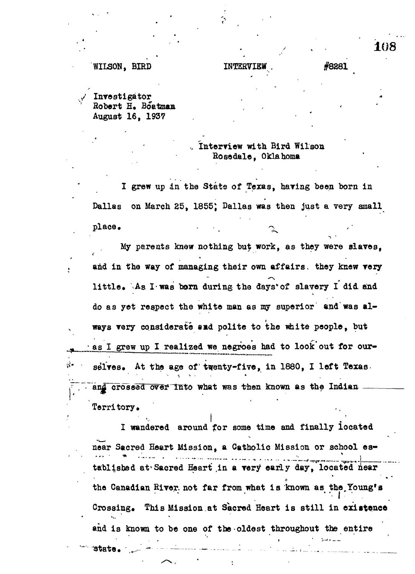## WILSON, BIRD **INTERVIEW #8281**

**,/ Investigator ' Robert H. Boatman August 16, 1937**

## Interview with Bird Wilson Rosedale, Oklahoma

108

I grew up in the State of Texas, having been born in Dallas on March 25, 1855; Dallas was then just a very small place. ^

My parents knew nothing but work, as they were slaves. and in the way of managing their own affairs, they knew very little. As I was born during the days of slavery I did and do as yet respect the white man as my superior and was always very considerate and polite to the white people, but as I grew up I realized we negroes had to look out for ourselves. At the age of twenty-five, in 1880, I left Texas. and crossed over into what was then known as the Indian **Territory.**

i **I wandered around for some time and finally located near Sacred Heart Mission, a Catholic Mission or school es-** " • • • •" ----- » " , ,..\*." . ^ , • \* i tablished at Sacred Heart in a very early day, located near **the Canadian River, not far from what is known as the. Young's Crossing. This Mission.at Sacred Heart is still in existence and is known to be one of the oldest throughout the entire**

 **- -- • - .. --.\_• \_.**

**-state. -.^-' — -**

**1**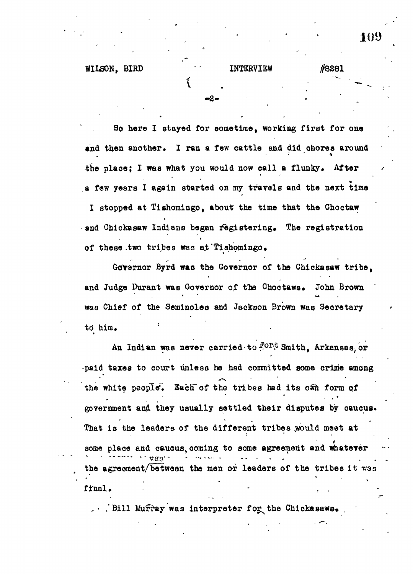**- 2 - •**

 $\mathbf{t} = \mathbf{t}$  .  $\mathbf{t} = \mathbf{t}$  ,  $\mathbf{t} = \mathbf{t}$  ,  $\mathbf{t} = \mathbf{t}$ 

**109**

So here I stayed for sometime, working first for one and then another. I ran a few cattle and did chores around the place; I was what you would now call a flunky. After a few years I again started on my travels and the next time I stopped at Tlshomingo, about the time that the Choctaw and Chickasaw Indians began registering. The registration *4* of these two tribes was at Tishomingo.

Governor Byrd was the Governor of the Chickasaw tribe, and Judge Durant was Governor of the Choctaws. John Brown was Chief of the Seminoles and Jackson Brown was Secretary td him.

An Indian was never carried to  $f^{\text{OPT}}$  Smith, Arkansas, or -paid taxes to court unless he had committed some crime among the white people. Each of the tribes had its own form of government and they usually settled their disputes by caucus. That is the leaders of the different tribes would meet at some place and caucus, coming to some agreement and whatever the agreement/between the men or leaders of the tribes it was

*s-* .'Bill Mufray was interpreter for^the Chickagaws»

 $\texttt{time}$  , and  $\texttt{time}$  , and  $\texttt{time}$  , and  $\texttt{time}$  , and  $\texttt{time}$  , and  $\texttt{time}$  , and  $\texttt{time}$  , and  $\texttt{time}$  , and  $\texttt{time}$  , and  $\texttt{time}$  , and  $\texttt{time}$  , and  $\texttt{time}$  , and  $\texttt{time}$  , and  $\texttt{time}$  , and  $\texttt{time}$  ,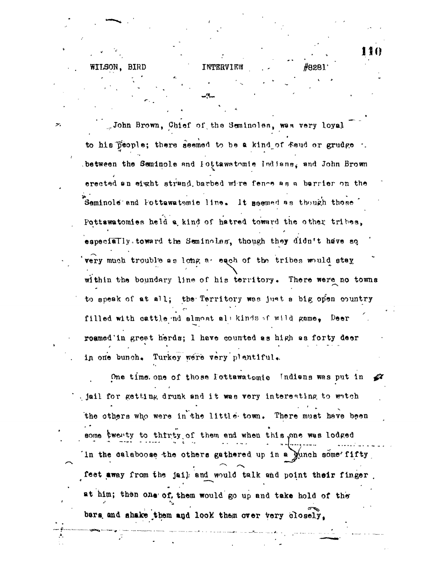WILSON. BIRD

John Brown, Chief of the Seminoles, was very loyal to his people; there seemed to be a kind of feud or grudge . between the Seminole and Hottawatomic Indians, and John Brown erected an eight strand barbed wire fence as a barrier on the Seminole and Fottawatemic line. It seemed as though those Pottawatomies held a kind of hatred toward the other tribes. especially toward the Seminolas, though they didn't have so very much trouble as long at each of the tribes would stay within the boundary line of his territory. There were no towns to speak of at all; the Territory was just a big open country filled with cattle nd slmost als kinds of wild game. Deer roamed in great herds; I have counted as high as forty deer in one bunch. Turkey were very plantiful.

One time one of those Fottawatomie Indians was put in jail for getting drunk and it was very interesting to watch the others who were in the little town. There must have been some twenty to thirty of them and when this one was lodged In the calaboose the others gathered up in a Munch some fifty feet away from the jail and would talk and point their finger at him; then one of, them would go up and take hold of the bars and shake them and look them over very closely.

 $#R2B1$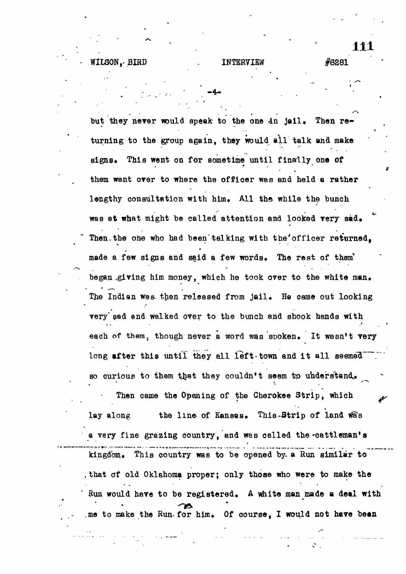**- , . • -4 - •**

**\***

**Ill**

**but they never would speak to the one in jail. Then returning to the group again, they would, all talk and make signs. This went on for sometime until finally one Of them went over to where the officer was and held a rather lengthy consultation with him. All the while the bunch** was at what might be called attention and looked very sad. Then the one who had been talking with the officer returned. *4* made a few signs and said a few words. The rest of them' began .giving him money, which he took over to the white man. The Indian was then released from jail. He came out looking very" sad and walked over to the bunch and shook hands with each of them, though never a word was spoken. It wasn't very long after this until they all left-town and it all seemed so curious to them that they couldn't seem to understand. Then came the Opening of the Cherokee Strip, which lay along the line of Kansas. This Strip of land was a very fine grazing country, and was called the-cattleman's kingdom. This country was to be opened by. a Run similar to .that *at* old Oklahoma proper; only those who were to make the Run would have to be registered, A white man made a deal with .me to make the Run. for him. Of course, I would not have been